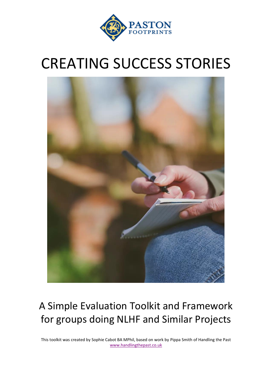

# CREATING SUCCESS STORIES



## A Simple Evaluation Toolkit and Framework for groups doing NLHF and Similar Projects

This toolkit was created by Sophie Cabot BA MPhil, based on work by Pippa Smith of Handling the Past [www.handlingthepast.co.uk](http://www.handlingthepast.co.uk/)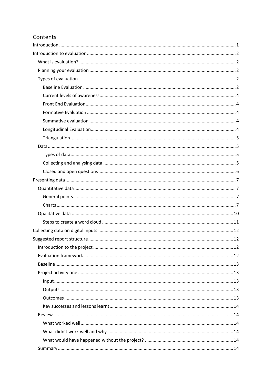## Contents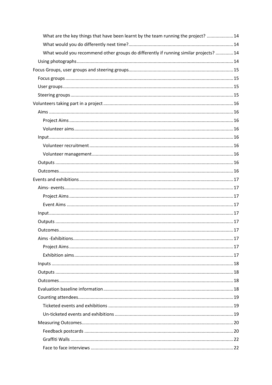| What are the key things that have been learnt by the team running the project?  14    |  |
|---------------------------------------------------------------------------------------|--|
|                                                                                       |  |
| What would you recommend other groups do differently if running similar projects?  14 |  |
|                                                                                       |  |
|                                                                                       |  |
|                                                                                       |  |
|                                                                                       |  |
|                                                                                       |  |
|                                                                                       |  |
|                                                                                       |  |
|                                                                                       |  |
|                                                                                       |  |
|                                                                                       |  |
|                                                                                       |  |
|                                                                                       |  |
|                                                                                       |  |
|                                                                                       |  |
|                                                                                       |  |
|                                                                                       |  |
|                                                                                       |  |
|                                                                                       |  |
|                                                                                       |  |
|                                                                                       |  |
|                                                                                       |  |
|                                                                                       |  |
|                                                                                       |  |
|                                                                                       |  |
|                                                                                       |  |
|                                                                                       |  |
|                                                                                       |  |
|                                                                                       |  |
|                                                                                       |  |
|                                                                                       |  |
|                                                                                       |  |
|                                                                                       |  |
|                                                                                       |  |
|                                                                                       |  |
|                                                                                       |  |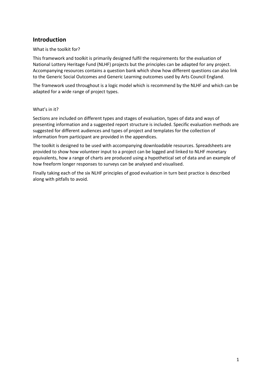## <span id="page-4-0"></span>**Introduction**

What is the toolkit for?

This framework and toolkit is primarily designed fulfil the requirements for the evaluation of National Lottery Heritage Fund (NLHF) projects but the principles can be adapted for any project. Accompanying resources contains a question bank which show how different questions can also link to the Generic Social Outcomes and Generic Learning outcomes used by Arts Council England.

The framework used throughout is a logic model which is recommend by the NLHF and which can be adapted for a wide range of project types.

#### What's in it?

Sections are included on different types and stages of evaluation, types of data and ways of presenting information and a suggested report structure is included. Specific evaluation methods are suggested for different audiences and types of project and templates for the collection of information from participant are provided in the appendices.

The toolkit is designed to be used with accompanying downloadable resources. Spreadsheets are provided to show how volunteer input to a project can be logged and linked to NLHF monetary equivalents, how a range of charts are produced using a hypothetical set of data and an example of how freeform longer responses to surveys can be analysed and visualised.

Finally taking each of the six NLHF principles of good evaluation in turn best practice is described along with pitfalls to avoid.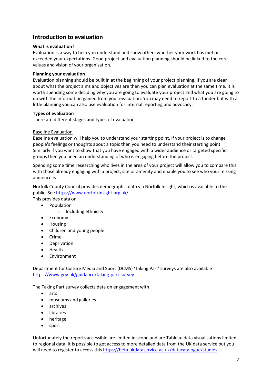## <span id="page-5-0"></span>**Introduction to evaluation**

#### <span id="page-5-1"></span>**What is evaluation?**

Evaluation is a way to help you understand and show others whether your work has met or exceeded your expectations. Good project and evaluation planning should be linked to the core values and vision of your organisation.

#### <span id="page-5-2"></span>**Planning your evaluation**

Evaluation planning should be built in at the beginning of your project planning. If you are clear about what the project aims and objectives are then you can plan evaluation at the same time. It is worth spending some deciding why you are going to evaluate your project and what you are going to do with the information gained from your evaluation. You may need to report to a funder but with a little planning you can also use evaluation for internal reporting and advocacy.

#### <span id="page-5-3"></span>**Types of evaluation**

There are different stages and types of evaluation

#### <span id="page-5-4"></span>Baseline Evaluation

Baseline evaluation will help you to understand your starting point. If your project is to change people's feelings or thoughts about a topic then you need to understand their starting point. Similarly if you want to show that you have engaged with a wider audience or targeted specific groups then you need an understanding of who is engaging before the project.

Spending some time researching who lives in the area of your project will allow you to compare this with those already engaging with a project, site or amenity and enable you to see who your missing audience is.

Norfolk County Council provides demographic data via Norfolk Insight, which is available to the public. See<https://www.norfolkinsight.org.uk/>

This provides data on

- Population
	- o Including ethnicity
	- Economy
	- Housing
	- Children and young people
	- Crime
	- Deprivation
	- Health
	- **Environment**

Department for Culture Media and Sport (DCMS) 'Taking Part' surveys are also available <https://www.gov.uk/guidance/taking-part-survey>

The Taking Part survey collects data on engagement with

- arts
- museums and galleries
- archives
- libraries
- heritage
- sport

Unfortunately the reports accessible are limited in scope and are Tableau data visualisations limited to regional data. It is possible to get access to more detailed data from the UK data service but you will need to register to access thi[s https://beta.ukdataservice.ac.uk/datacatalogue/studies](https://beta.ukdataservice.ac.uk/datacatalogue/studies)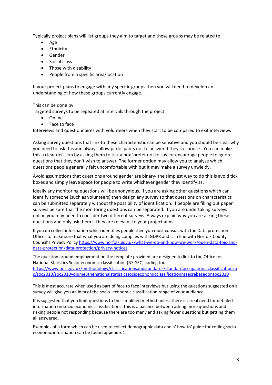Typically project plans will list groups they aim to target and these groups may be related to

- Age
- Ethnicity
- Gender
- Social class
- Those with disability
- People from a specific area/location

If your project plans to engage with any specific groups then you will need to develop an understanding of how these groups currently engage.

This can be done by

Targeted surveys to be repeated at intervals through the project

- Online
- Face to face

Interviews and questionnaires with volunteers when they start to be compared to exit interviews

Asking survey questions that link to these characteristic can be sensitive and you should be clear why you need to ask this and always allow participants not to answer if they so choose. You can make this a clear decision by asking them to tick a box 'prefer not to say' or encourage people to ignore questions that they don't wish to answer. The former option may allow you to analyse which questions people generally felt uncomfortable with but it may make a survey unwieldy.

Avoid assumptions that questions around gender are binary- the simplest way to do this is avoid tick boxes and simply leave space for people to write whichever gender they identify as.

Ideally any monitoring questions will be anonymous. If you are asking other questions which can identify someone (such as volunteers) then design any survey so that questions on characteristics can be submitted separately without the possibility of identification. If people are filling out paper surveys be sure that the monitoring questions can be separated. If you are undertaking surveys online you may need to consider two different surveys. Always explain why you are asking these questions and only ask them if they are relevant to your project aims.

If you do collect information which identifies people then you must consult with the Data protection Officer to make sure that what you are doing complies with GDPR and is in line with Norfolk County Council's Privacy Policy [https://www.norfolk.gov.uk/what-we-do-and-how-we-work/open-data-fois-and](https://www.norfolk.gov.uk/what-we-do-and-how-we-work/open-data-fois-and-data-protection/data-protection/privacy-notices)[data-protection/data-protection/privacy-notices](https://www.norfolk.gov.uk/what-we-do-and-how-we-work/open-data-fois-and-data-protection/data-protection/privacy-notices)

The question around employment on the template provided are designed to link to the Office for National Statistics Socio-economic classification (NS-SEC) coding tool [https://www.ons.gov.uk/methodology/classificationsandstandards/standardoccupationalclassificationso](https://www.ons.gov.uk/methodology/classificationsandstandards/standardoccupationalclassificationsoc/soc2010/soc2010volume3thenationalstatisticssocioeconomicclassificationnssecrebasedonsoc2010) [c/soc2010/soc2010volume3thenationalstatisticssocioeconomicclassificationnssecrebasedonsoc2010](https://www.ons.gov.uk/methodology/classificationsandstandards/standardoccupationalclassificationsoc/soc2010/soc2010volume3thenationalstatisticssocioeconomicclassificationnssecrebasedonsoc2010)

This is most accurate when used as part of face to face interviews but using the questions suggested on a survey will give you an idea of the socio- economic classification range of your audience.

It is suggested that you limit questions to the simplified method unless there is a real need for detailed information on socio economic classifications- this is a balance between asking more questions and risking people not responding because there are too many and asking fewer questions but getting them all answered.

<span id="page-6-0"></span>Examples of a form which can be used to collect demographic data and a' how to' guide for coding socio economic information can be found appendix 1.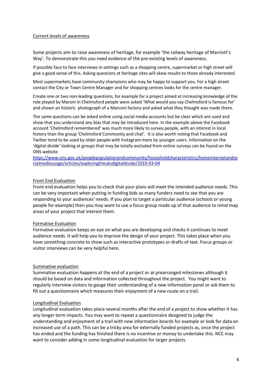#### Current levels of awareness

Some projects aim to raise awareness of heritage, for example 'the railway heritage of Marriott's Way'. To demonstrate this you need evidence of the pre-existing levels of awareness.

If possible face to face interviews in settings such as a shopping centre, supermarket or high street will give a good sense of this. Asking questions at heritage sites will skew results to those already interested.

Most supermarkets have community champions who may be happy to support you. For a high street contact the City or Town Centre Manager and for shopping centres looks for the centre manager.

Create one or two non-leading questions, for example for a project aimed at increasing knowledge of the role played by Maroni in Chelmsford people were asked 'What would you say Chelmsford is famous for' and shown an historic photograph of a Marconi factory and asked what they thought was made there.

The same questions can be asked online using social media accounts but be clear which are used and show that you understand any bias that may be introduced here. In the example above the Facebook account 'Chelmsford remembered' was much more likely to survey people, with an interest in local history than the group 'Chelmsford Community and chat'. It is also worth noting that Facebook and Twitter tend to be used by older people with Instagram more by younger users. Information on the 'digital divide' looking at groups that may be totally excluded from online surveys can be found on the ONS website

[https://www.ons.gov.uk/peoplepopulationandcommunity/householdcharacteristics/homeinternetandso](https://www.ons.gov.uk/peoplepopulationandcommunity/householdcharacteristics/homeinternetandsocialmediausage/articles/exploringtheuksdigitaldivide/2019-03-04) [cialmediausage/articles/exploringtheuksdigitaldivide/2019-03-04](https://www.ons.gov.uk/peoplepopulationandcommunity/householdcharacteristics/homeinternetandsocialmediausage/articles/exploringtheuksdigitaldivide/2019-03-04)

#### <span id="page-7-0"></span>Front End Evaluation

Front end evaluation helps you to check that your plans will meet the intended audience needs. This can be very important when putting in funding bids as many funders need to see that you are responding to your audiences' needs. If you plan to target a particular audience (schools or young people for example) then you may want to use a focus group made up of that audience to mind map areas of your project that interest them.

#### <span id="page-7-1"></span>Formative Evaluation

Formative evaluation keeps an eye on what you are developing and checks it continues to meet audience needs. It will help you to improve the design of your project. This takes place when you have something concrete to show such as interactive prototypes or drafts of text. Focus groups or visitor interviews can be very helpful here.

#### <span id="page-7-2"></span>Summative evaluation

Summative evaluation happens at the end of a project or at prearranged milestones although it should be based on data and information collected throughout the project. You might want to regularly interview visitors to gauge their understanding of a new information panel or ask them to fill out a questionnaire which measures their enjoyment of a new route on a trail.

#### <span id="page-7-3"></span>Longitudinal Evaluation

<span id="page-7-4"></span>Longitudinal evaluation takes place several months after the end of a project to show whether it has any longer term impacts. You may want to repeat a questionnaire designed to judge the understanding and enjoyment of a trail with new information boards for example or look for data on increased use of a path. This can be a tricky area for externally funded projects as, once the project has ended and the funding has finished there is no incentive or money to undertake this. NCC may want to consider adding in some longitudinal evaluation for larger projects.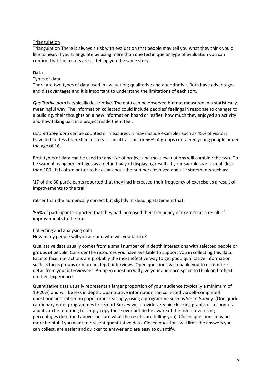#### **Triangulation**

Triangulation There is always a risk with evaluation that people may tell you what they think you'd like to hear. If you triangulate by using more than one technique or type of evaluation you can confirm that the results are all telling you the same story.

#### <span id="page-8-0"></span>**Data**

#### <span id="page-8-1"></span>Types of data

There are two types of data used in evaluation; qualitative and quantitative. Both have advantages and disadvantages and it is important to understand the limitations of each sort.

*Qualitative data* is typically descriptive. The data can be observed but not measured in a statistically meaningful way. The information collected could include peoples' feelings in response to changes to a building, their thoughts on a new information board or leaflet, how much they enjoyed an activity and how taking part in a project made them feel.

*Quantitative data* can be counted or measured. It may include examples such as 45% of visitors travelled for less than 30 miles to visit an attraction, or 56% of groups contained young people under the age of 16.

Both types of data can be used for any size of project and most evaluations will combine the two. Do be wary of using percentages as a default way of displaying results if your sample size is small (less than 100). It is often better to be clear about the numbers involved and use statements such as:

'17 of the 30 participants reported that they had increased their frequency of exercise as a result of improvements to the trail'

rather than the numerically correct but slightly misleading statement that:

'56% of participants reported that they had increased their frequency of exercise as a result of improvements to the trail'

#### <span id="page-8-2"></span>Collecting and analysing data

How many people will you ask and who will you talk to?

Qualitative data usually comes from a small number of in depth interactions with selected people or groups of people. Consider the resources you have available to support you in collecting this data. Face to face interactions are probably the most effective way to get good qualitative information such as focus groups or more in depth interviews. Open questions will enable you to elicit more detail from your interviewees. An open question will give your audience space to think and reflect on their experience.

Quantitative data usually represents a larger proportion of your audience (typically a minimum of 10-20%) and will be less in depth. Quantitative information can collected via self-completed questionnaires either on paper or increasingly, using a programme such as Smart Survey. (One quick cautionary note- programmes like Smart Survey will provide very nice looking graphs of responses and it can be tempting to simply copy these over but do be aware of the risk of overusing percentages described above- be sure what the results are telling you). Closed questions may be more helpful if you want to present quantitative data. Closed questions will limit the answers you can collect, are easier and quicker to answer and are easy to quantify.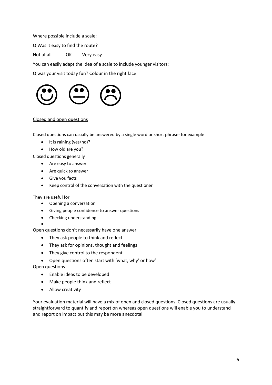Where possible include a scale:

Q Was it easy to find the route?

Not at all OK Very easy

You can easily adapt the idea of a scale to include younger visitors:

Q was your visit today fun? Colour in the right face



#### <span id="page-9-0"></span>Closed and open questions

Closed questions can usually be answered by a single word or short phrase- for example

- It is raining (yes/no)?
- How old are you?

Closed questions generally

- Are easy to answer
- Are quick to answer
- Give you facts
- Keep control of the conversation with the questioner

They are useful for

- Opening a conversation
- Giving people confidence to answer questions
- Checking understanding

• Open questions don't necessarily have one answer

- They ask people to think and reflect
- They ask for opinions, thought and feelings
- They give control to the respondent
- Open questions often start with 'what, why' or how'

Open questions

- Enable ideas to be developed
- Make people think and reflect
- Allow creativity

Your evaluation material will have a mix of open and closed questions. Closed questions are usually straightforward to quantify and report on whereas open questions will enable you to understand and report on impact but this may be more anecdotal.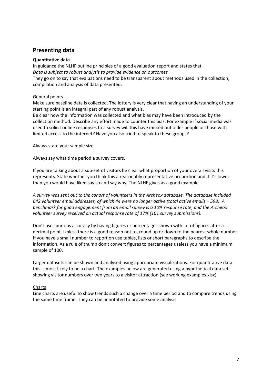## <span id="page-10-0"></span>**Presenting data**

#### <span id="page-10-1"></span>**Quantitative data**

In guidance the NLHF outline principles of a good evaluation report and states that *Data is subject to robust analysis to provide evidence on outcomes* They go on to say that evaluations need to be transparent about methods used in the collection, compilation and analysis of data presented.

#### <span id="page-10-2"></span>General points

Make sure baseline data is collected. The lottery is very clear that having an understanding of your starting point is an integral part of any robust analysis.

Be clear how the information was collected and what bias may have been introduced by the collection method. Describe any effort made to counter this bias. For example if social media was used to solicit online responses to a survey will this have missed out older people or those with limited access to the internet? Have you also tried to speak to these groups?

Always state your sample size.

Always say what time period a survey covers.

If you are talking about a sub-set of visitors be clear what proportion of your overall visits this represents. State whether you think this a reasonably representative proportion and if it's lower than you would have liked say so and say why. The NLHF gives as a good example

*A survey was sent out to the cohort of volunteers in the Archeox database. The database included 642 volunteer email addresses, of which 44 were no longer active (total active emails = 598). A benchmark for good engagement from an email survey is a 10% response rate, and the Archeox volunteer survey received an actual response rate of 17% (101 survey submissions).*

Don't use spurious accuracy by having figures or percentages shown with lot of figures after a decimal point. Unless there is a good reason not to, round up or down to the nearest whole number. If you have a small number to report on use tables, lists or short paragraphs to describe the information. As a rule of thumb don't convert figures to percentages useless you have a minimum sample of 100.

Larger datasets can be shown and analysed using appropriate visualizations. For quantitative data this is most likely to be a chart. The examples below are generated using a hypothetical data set showing visitor numbers over two years to a visitor attraction (see working examples.xlsx)

#### <span id="page-10-3"></span>Charts

Line charts are useful to show trends such a change over a time period and to compare trends using the same time frame. They can be annotated to provide some analysis.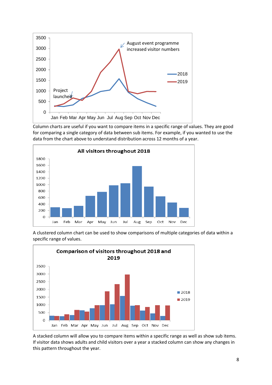

Column charts are useful if you want to compare items in a specific range of values. They are good for comparing a single category of data between sub items. For example, if you wanted to use the data from the chart above to understand distribution across 12 months of a year.



A clustered column chart can be used to show comparisons of multiple categories of data within a specific range of values.



A stacked column will allow you to compare items within a specific range as well as show sub items. If visitor data shows adults and child visitors over a year a stacked column can show any changes in this pattern throughout the year.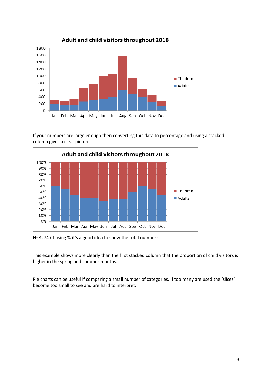

If your numbers are large enough then converting this data to percentage and using a stacked column gives a clear picture



N=8274 (if using % it's a good idea to show the total number)

This example shows more clearly than the first stacked column that the proportion of child visitors is higher in the spring and summer months.

Pie charts can be useful if comparing a small number of categories. If too many are used the 'slices' become too small to see and are hard to interpret.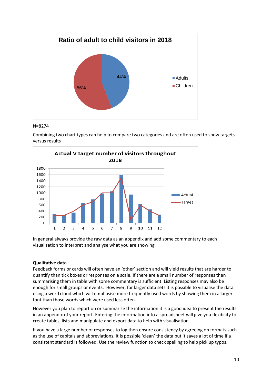

#### N=8274

Combining two chart types can help to compare two categories and are often used to show targets versus results



In general always provide the raw data as an appendix and add some commentary to each visualisation to interpret and analyse what you are showing.

#### <span id="page-13-0"></span>**Qualitative data**

Feedback forms or cards will often have an 'other' section and will yield results that are harder to quantify than tick boxes or responses on a scale. If there are a small number of responses then summarising them in table with some commentary is sufficient. Listing responses may also be enough for small groups or events. However, for larger data sets it is possible to visualise the data using a word cloud which will emphasise more frequently used words by showing them in a larger font than those words which were used less often.

However you plan to report on or summarise the information it is a good idea to present the results in an appendix of your report. Entering the information into a spreadsheet will give you flexibility to create tables, lists and manipulate and export data to help with visualisation.

<span id="page-13-1"></span>If you have a large number of responses to log then ensure consistency by agreeing on formats such as the use of capitals and abbreviations. It is possible 'clean' the data but it saves a lot of time if a consistent standard is followed. Use the review function to check spelling to help pick up typos.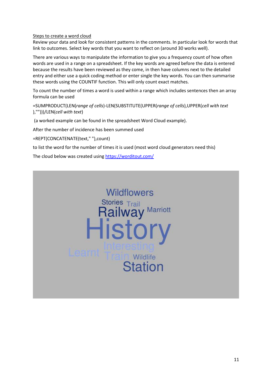#### Steps to create a word cloud

Review your data and look for consistent patterns in the comments. In particular look for words that link to outcomes. Select key words that you want to reflect on (around 30 works well).

There are various ways to manipulate the information to give you a frequency count of how often words are used in a range on a spreadsheet. If the key words are agreed before the data is entered because the results have been reviewed as they come, in then have columns next to the detailed entry and either use a quick coding method or enter single the key words. You can then summarise these words using the COUNTIF function. This will only count exact matches.

To count the number of times a word is used within a range which includes sentences then an array formula can be used

=SUMPRODUCT(LEN(*range of cells*)-LEN(SUBSTITUTE(UPPER(*range of cells*),UPPER(*cell with text* ),"")))/LEN(*cell with text*)

(a worked example can be found in the spreadsheet Word Cloud example).

After the number of incidence has been summed used

=REPT(CONCATENATE(text," "),count)

to list the word for the number of times it is used (most word cloud generators need this)

The cloud below was created usin[g https://worditout.com/](https://worditout.com/)

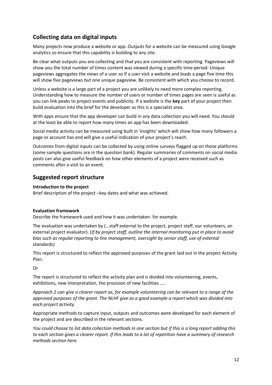## <span id="page-15-0"></span>**Collecting data on digital inputs**

Many projects now produce a website or app. Outputs for a website can be measured using Google analytics so ensure that this capability is building to any site.

Be clear what outputs you are collecting and that you are consistent with reporting. Pageviews will show you the total number of times content was viewed during a specific time period. Unique pageviews aggregates the views of a user so if a user visit a website and loads a page five time this will show five pageviews but one unique pageview. Be consistent with which you choose to record.

Unless a website is a large part of a project you are unlikely to need more complex reporting. Understanding how to measure the number of users or number of times pages are seen is useful as you can link peaks to project events and publicity. If a website is the **key** part of your project then build evaluation into the brief for the developer as this is a specialist area.

With apps ensure that the app developer can build in any data collection you will need. You should at the least be able to report how many times an app has been downloaded.

Social media activity can be measured using built in 'insights' which will show how many followers a page or account has and will give a useful indication of your project's reach.

Outcomes from digital inputs can be collected by using online surveys flagged up on those platforms (some sample questions are in the question bank). Regular summaries of comments on social media posts can also give useful feedback on how other elements of a project were received such as comments after a visit to an event.

## <span id="page-15-1"></span>**Suggested report structure**

#### <span id="page-15-2"></span>**Introduction to the project**

Brief description of the project –key dates and what was achieved.

#### <span id="page-15-3"></span>**Evaluation framework**

Describe the framework used and how it was undertaken- for example.

The evaluation was undertaken by (…staff external to the project, project staff, our volunteers, an external project evaluator). (*If by project staff, outline the internal monitoring put in place to avoid bias such as regular reporting to line management, oversight by senior staff, use of external standards)*

This report is structured to reflect the approved purposes of the grant laid out in the project Activity Plan.

Or

The report is structured to reflect the activity plan and is divided into volunteering, events, exhibitions, new interpretation, the provision of new facilities …..

*Approach 2 can give a clearer report as, for example volunteering can be relevant to a range of the approved purposes of the grant. The NLHF give as a good example a report which was divided into each project activity.*

Appropriate methods to capture input, outputs and outcomes were developed for each element of the project and are described in the relevant sections.

*You could choose to list data collection methods in one section but if this is a long report adding this to each section gives a clearer report. If this leads to a lot of repetition have a summary of research methods section here.*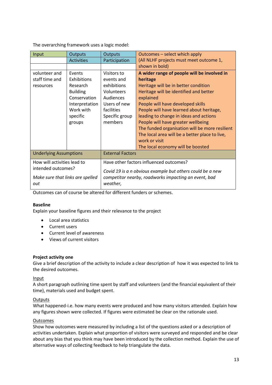The overarching framework uses a logic model:

| Input                            | Outputs           | Outputs                                                   | Outcomes - select which apply                  |
|----------------------------------|-------------------|-----------------------------------------------------------|------------------------------------------------|
|                                  | <b>Activities</b> | Participation                                             | (All NLHF projects must meet outcome 1,        |
|                                  |                   |                                                           | shown in bold)                                 |
| volunteer and                    | Events            | Visitors to                                               | A wider range of people will be involved in    |
| staff time and                   | Exhibitions       | events and                                                | heritage                                       |
| resources                        | Research          | exhibitions                                               | Heritage will be in better condition           |
|                                  | <b>Building</b>   | Volunteers                                                | Heritage will be identified and better         |
|                                  | Conservation      | Audiences                                                 | explained                                      |
|                                  | Interpretation    | Users of new                                              | People will have developed skills              |
|                                  | Work with         | facilities                                                | People will have learned about heritage,       |
|                                  | specific          | Specific group                                            | leading to change in ideas and actions         |
|                                  | groups            | members<br>People will have greater wellbeing             |                                                |
|                                  |                   | The funded organisation will be more resilient            |                                                |
|                                  |                   |                                                           | The local area will be a better place to live, |
|                                  |                   |                                                           | work or visit                                  |
|                                  |                   |                                                           | The local economy will be boosted              |
| <b>Underlying Assumptions</b>    |                   | <b>External Factors</b>                                   |                                                |
| How will activities lead to      |                   | Have other factors influenced outcomes?                   |                                                |
| intended outcomes?               |                   | Covid 19 is a n obvious example but others could be a new |                                                |
| Make sure that links are spelled |                   | competitor nearby, roadworks impacting an event, bad      |                                                |
| out                              |                   | weather,                                                  |                                                |
|                                  |                   |                                                           |                                                |

<span id="page-16-0"></span>Outcomes can of course be altered for different funders or schemes.

#### **Baseline**

Explain your baseline figures and their relevance to the project

- Local area statistics
- Current users
- Current level of awareness
- Views of current visitors

#### <span id="page-16-1"></span>**Project activity one**

Give a brief description of the activity to include a clear description of how it was expected to link to the desired outcomes.

#### <span id="page-16-2"></span>Input

A short paragraph outlining time spent by staff and volunteers (and the financial equivalent of their time), materials used and budget spent.

#### <span id="page-16-3"></span>**Outputs**

What happened-i.e. how many events were produced and how many visitors attended. Explain how any figures shown were collected. If figures were estimated be clear on the rationale used.

#### <span id="page-16-4"></span>Outcomes

Show how outcomes were measured by including a list of the questions asked or a description of activities undertaken. Explain what proportion of visitors were surveyed and responded and be clear about any bias that you think may have been introduced by the collection method. Explain the use of alternative ways of collecting feedback to help triangulate the data.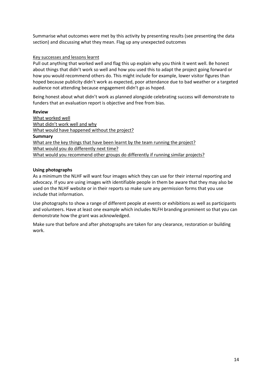Summarise what outcomes were met by this activity by presenting results (see presenting the data section) and discussing what they mean. Flag up any unexpected outcomes

#### <span id="page-17-0"></span>Key successes and lessons learnt

Pull out anything that worked well and flag this up explain why you think it went well. Be honest about things that didn't work so well and how you used this to adapt the project going forward or how you would recommend others do. This might include for example, lower visitor figures than hoped because publicity didn't work as expected, poor attendance due to bad weather or a targeted audience not attending because engagement didn't go as hoped.

Being honest about what didn't work as planned alongside celebrating success will demonstrate to funders that an evaluation report is objective and free from bias.

<span id="page-17-5"></span><span id="page-17-4"></span><span id="page-17-3"></span><span id="page-17-2"></span><span id="page-17-1"></span>**Review** What worked well What didn't work well and why What would have happened without the project? **Summary** What are the key things that have been learnt by the team running the project? What would you do differently next time? What would you recommend other groups do differently if running similar projects?

#### <span id="page-17-9"></span><span id="page-17-8"></span><span id="page-17-7"></span><span id="page-17-6"></span>**Using photographs**

As a minimum the NLHF will want four images which they can use for their internal reporting and advocacy. If you are using images with identifiable people in them be aware that they may also be used on the NLHF website or in their reports so make sure any permission forms that you use include that information.

Use photographs to show a range of different people at events or exhibitions as well as participants and volunteers. Have at least one example which includes NLFH branding prominent so that you can demonstrate how the grant was acknowledged.

Make sure that before and after photographs are taken for any clearance, restoration or building work.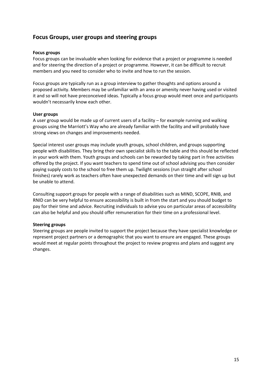## <span id="page-18-0"></span>**Focus Groups, user groups and steering groups**

#### <span id="page-18-1"></span>**Focus groups**

Focus groups can be invaluable when looking for evidence that a project or programme is needed and for steering the direction of a project or programme. However, it can be difficult to recruit members and you need to consider who to invite and how to run the session.

Focus groups are typically run as a group interview to gather thoughts and options around a proposed activity. Members may be unfamiliar with an area or amenity never having used or visited it and so will not have preconceived ideas. Typically a focus group would meet once and participants wouldn't necessarily know each other.

#### <span id="page-18-2"></span>**User groups**

A user group would be made up of current users of a facility – for example running and walking groups using the Marriott's Way who are already familiar with the facility and will probably have strong views on changes and improvements needed.

Special interest user groups may include youth groups, school children, and groups supporting people with disabilities. They bring their own specialist skills to the table and this should be reflected in your work with them. Youth groups and schools can be rewarded by taking part in free activities offered by the project. If you want teachers to spend time out of school advising you then consider paying supply costs to the school to free them up. Twilight sessions (run straight after school finishes) rarely work as teachers often have unexpected demands on their time and will sign up but be unable to attend.

Consulting support groups for people with a range of disabilities such as MIND, SCOPE, RNIB, and RNID can be very helpful to ensure accessibility is built in from the start and you should budget to pay for their time and advice. Recruiting individuals to advise you on particular areas of accessibility can also be helpful and you should offer remuneration for their time on a professional level.

#### <span id="page-18-3"></span>**Steering groups**

Steering groups are people invited to support the project because they have specialist knowledge or represent project partners or a demographic that you want to ensure are engaged. These groups would meet at regular points throughout the project to review progress and plans and suggest any changes.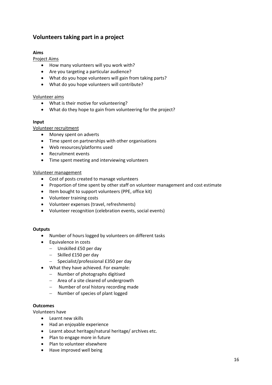## <span id="page-19-0"></span>**Volunteers taking part in a project**

#### <span id="page-19-1"></span>**Aims**

<span id="page-19-2"></span>Project Aims

- How many volunteers will you work with?
- Are you targeting a particular audience?
- What do you hope volunteers will gain from taking parts?
- What do you hope volunteers will contribute?

#### <span id="page-19-3"></span>Volunteer aims

- What is their motive for volunteering?
- What do they hope to gain from volunteering for the project?

#### <span id="page-19-4"></span>**Input**

#### <span id="page-19-5"></span>Volunteer recruitment

- Money spent on adverts
- Time spent on partnerships with other organisations
- Web resources/platforms used
- Recruitment events
- Time spent meeting and interviewing volunteers

#### <span id="page-19-6"></span>Volunteer management

- Cost of posts created to manage volunteers
- Proportion of time spent by other staff on volunteer management and cost estimate
- Item bought to support volunteers (PPE, office kit)
- Volunteer training costs
- Volunteer expenses (travel, refreshments)
- Volunteer recognition (celebration events, social events)

#### <span id="page-19-7"></span>**Outputs**

- Number of hours logged by volunteers on different tasks
- Equivalence in costs
	- − Unskilled £50 per day
	- − Skilled £150 per day
	- − Specialist/professional £350 per day
- What they have achieved. For example:
	- − Number of photographs digitised
	- − Area of a site cleared of undergrowth
	- − Number of oral history recording made
	- − Number of species of plant logged

#### <span id="page-19-8"></span>**Outcomes**

Volunteers have

- Learnt new skills
- Had an enjoyable experience
- Learnt about heritage/natural heritage/ archives etc.
- Plan to engage more in future
- Plan to volunteer elsewhere
- Have improved well being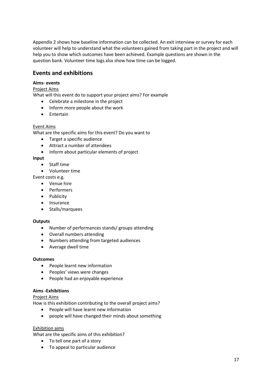Appendix 2 shows how baseline information can be collected. An exit interview or survey for each volunteer will help to understand what the volunteers gained from taking part in the project and will help you to show which outcomes have been achieved. Example questions are shown in the question bank. Volunteer time logs.xlsx show how time can be logged.

## <span id="page-20-0"></span>**Events and exhibitions**

#### <span id="page-20-1"></span>**Aims- events**

<span id="page-20-2"></span>Project Aims

What will this event do to support your project aims? For example

- Celebrate a milestone in the project
- Inform more people about the work
- Entertain

#### <span id="page-20-3"></span>Event Aims

What are the specific aims for this event? Do you want to

- Target a specific audience
- Attract a number of attendees
- Inform about particular elements of project

#### <span id="page-20-4"></span>**Input**

- Staff time
- Volunteer time

Event costs e.g.

- Venue hire
- Performers
- Publicity
- Insurance
- Stalls/marquees

#### <span id="page-20-5"></span>**Outputs**

- Number of performances stands/ groups attending
- Overall numbers attending
- Numbers attending from targeted audiences
- Average dwell time

#### <span id="page-20-6"></span>**Outcomes**

- People learnt new information
- Peoples' views were changes
- People had an enjoyable experience

#### <span id="page-20-7"></span>**Aims -Exhibitions**

#### <span id="page-20-8"></span>Project Aims

How is this exhibition contributing to the overall project aims?

- People will have learnt new information
- people will have changed their minds about something

#### <span id="page-20-9"></span>Exhibition aims

What are the specific aims of this exhibition?

- To tell one part of a story
- To appeal to particular audience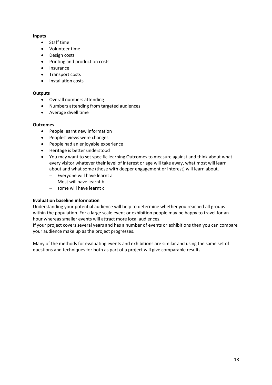#### <span id="page-21-0"></span>**Inputs**

- Staff time
- Volunteer time
- Design costs
- Printing and production costs
- Insurance
- Transport costs
- Installation costs

#### <span id="page-21-1"></span>**Outputs**

- Overall numbers attending
- Numbers attending from targeted audiences
- Average dwell time

#### <span id="page-21-2"></span>**Outcomes**

- People learnt new information
- Peoples' views were changes
- People had an enjoyable experience
- Heritage is better understood
- You may want to set specific learning Outcomes to measure against and think about what every visitor whatever their level of interest or age will take away, what most will learn about and what some (those with deeper engagement or interest) will learn about.
	- − Everyone will have learnt a
	- − Most will have learnt b
	- − some will have learnt c

#### <span id="page-21-3"></span>**Evaluation baseline information**

Understanding your potential audience will help to determine whether you reached all groups within the population. For a large scale event or exhibition people may be happy to travel for an hour whereas smaller events will attract more local audiences.

If your project covers several years and has a number of events or exhibitions then you can compare your audience make up as the project progresses.

Many of the methods for evaluating events and exhibitions are similar and using the same set of questions and techniques for both as part of a project will give comparable results.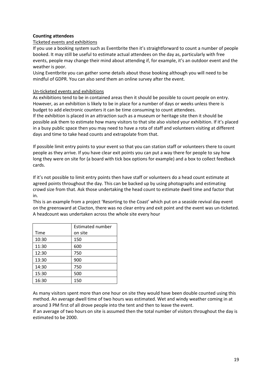#### <span id="page-22-0"></span>**Counting attendees**

#### <span id="page-22-1"></span>Ticketed events and exhibitions

If you use a booking system such as Eventbrite then it's straightforward to count a number of people booked. It may still be useful to estimate actual attendees on the day as, particularly with free events, people may change their mind about attending if, for example, it's an outdoor event and the weather is poor.

Using Eventbrite you can gather some details about those booking although you will need to be mindful of GDPR. You can also send them an online survey after the event.

#### <span id="page-22-2"></span>Un-ticketed events and exhibitions

As exhibitions tend to be in contained areas then it should be possible to count people on entry. However, as an exhibition is likely to be in place for a number of days or weeks unless there is budget to add electronic counters it can be time consuming to count attendees.

If the exhibition is placed in an attraction such as a museum or heritage site then it should be possible ask them to estimate how many visitors to that site also visited your exhibition. If it's placed in a busy public space then you may need to have a rota of staff and volunteers visiting at different days and time to take head counts and extrapolate from that.

If possible limit entry points to your event so that you can station staff or volunteers there to count people as they arrive. If you have clear exit points you can put a way there for people to say how long they were on site for (a board with tick box options for example) and a box to collect feedback cards.

If it's not possible to limit entry points then have staff or volunteers do a head count estimate at agreed points throughout the day. This can be backed up by using photographs and estimating crowd size from that. Ask those undertaking the head count to estimate dwell time and factor that in.

This is an example from a project 'Resorting to the Coast' which put on a seaside revival day event on the greensward at Clacton, there was no clear entry and exit point and the event was un-ticketed. A headcount was undertaken across the whole site every hour

|       | <b>Estimated number</b> |
|-------|-------------------------|
| Time  | on site                 |
| 10:30 | 150                     |
| 11:30 | 600                     |
| 12:30 | 750                     |
| 13:30 | 900                     |
| 14:30 | 750                     |
| 15:30 | 500                     |
| 16:30 | 150                     |

As many visitors spent more than one hour on site they would have been double counted using this method. An average dwell time of two hours was estimated. Wet and windy weather coming in at around 3 PM first of all drove people into the tent and then to leave the event.

If an average of two hours on site is assumed then the total number of visitors throughout the day is estimated to be 2000.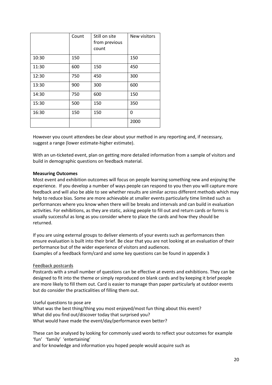|       | Count | Still on site<br>from previous<br>count | New visitors |
|-------|-------|-----------------------------------------|--------------|
| 10:30 | 150   |                                         | 150          |
| 11:30 | 600   | 150                                     | 450          |
| 12:30 | 750   | 450                                     | 300          |
| 13:30 | 900   | 300                                     | 600          |
| 14:30 | 750   | 600                                     | 150          |
| 15:30 | 500   | 150                                     | 350          |
| 16:30 | 150   | 150                                     | 0            |
|       |       |                                         | 2000         |

However you count attendees be clear about your method in any reporting and, if necessary, suggest a range (lower estimate-higher estimate).

With an un-ticketed event, plan on getting more detailed information from a sample of visitors and build in demographic questions on feedback material.

#### <span id="page-23-0"></span>**Measuring Outcomes**

Most event and exhibition outcomes will focus on people learning something new and enjoying the experience. If you develop a number of ways people can respond to you then you will capture more feedback and will also be able to see whether results are similar across different methods which may help to reduce bias. Some are more achievable at smaller events particularly time limited such as performances where you know when there will be breaks and intervals and can build in evaluation activities. For exhibitions, as they are static, asking people to fill out and return cards or forms is usually successful as long as you consider where to place the cards and how they should be returned.

If you are using external groups to deliver elements of your events such as performances then ensure evaluation is built into their brief. Be clear that you are not looking at an evaluation of their performance but of the wider experience of visitors and audiences. Examples of a feedback form/card and some key questions can be found in appendix 3

#### <span id="page-23-1"></span>Feedback postcards

Postcards with a small number of questions can be effective at events and exhibitions. They can be designed to fit into the theme or simply reproduced on blank cards and by keeping it brief people are more likely to fill them out. Card is easier to manage than paper particularly at outdoor events but do consider the practicalities of filling them out.

Useful questions to pose are

What was the best thing/thing you most enjoyed/most fun thing about this event? What did you find out/discover today that surprised you? What would have made the event/day/performance even better?

These can be analysed by looking for commonly used words to reflect your outcomes for example 'fun' 'family' 'entertaining'

and for knowledge and information you hoped people would acquire such as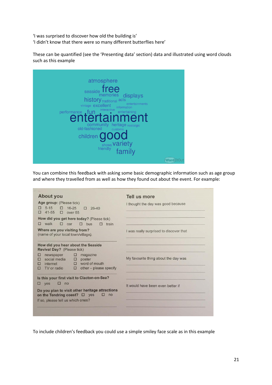'I was surprised to discover how old the building is' 'I didn't know that there were so many different butterflies here'

These can be quantified (see the 'Presenting data' section) data and illustrated using word clouds such as this example

| atmosphere                                               |  |
|----------------------------------------------------------|--|
|                                                          |  |
| free<br>seaside                                          |  |
| memories displays<br>history traditional acts            |  |
| entertainments<br>vintage excellent                      |  |
| information                                              |  |
| performance fun interactive entertaining                 |  |
|                                                          |  |
| community heritage nostalgic<br>old-fashioned<br>customs |  |
|                                                          |  |
|                                                          |  |
|                                                          |  |
| children <b>good</b>                                     |  |
|                                                          |  |

You can combine this feedback with asking some basic demographic information such as age group and where they travelled from as well as how they found out about the event. For example:

| <b>About you</b>                                                                                                                                                                     | Tell us more                            |
|--------------------------------------------------------------------------------------------------------------------------------------------------------------------------------------|-----------------------------------------|
| Age group: (Please tick)<br>$5 - 15$<br>$\Box$<br>16-25<br>$26 - 40$<br>п<br>$\Box$<br>41-55<br>$\Box$ over 55<br>п                                                                  | I thought the day was good because      |
| How did you get here today? (Please tick)<br>walk<br>$\square$ car<br>□<br>$\Box$ bus<br>п<br>train                                                                                  |                                         |
| Where are you visiting from?<br>(name of your local town/village)                                                                                                                    | I was really surprised to discover that |
| How did you hear about the Seaside<br>Revival Day? (Please tick)                                                                                                                     |                                         |
| newspaper<br>□<br>magazine<br>□<br>social media<br>poster<br>п<br>$\Box$<br>$\Box$ word of mouth<br>internet<br><b>All Street</b><br>other - please specify<br>TV or radio<br>0<br>п | My favourite thing about the day was    |
| Is this your first visit to Clacton-on-Sea?<br>yes<br>О<br>no<br>п                                                                                                                   | It would have been even better if       |
| Do you plan to visit other heritage attractions<br>on the Tendring coast? $\square$ yes<br>□<br>no<br>If so, please tell us which ones?                                              |                                         |
|                                                                                                                                                                                      |                                         |

To include children's feedback you could use a simple smiley face scale as in this example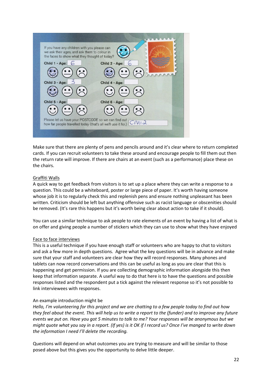

Make sure that there are plenty of pens and pencils around and it's clear where to return completed cards. If you can recruit volunteers to take these around and encourage people to fill them out then the return rate will improve. If there are chairs at an event (such as a performance) place these on the chairs.

#### <span id="page-25-0"></span>Graffiti Walls

A quick way to get feedback from visitors is to set up a place where they can write a response to a question. This could be a whiteboard, poster or large piece of paper. It's worth having someone whose job it is to regularly check this and replenish pens and ensure nothing unpleasant has been written. Criticism should be left but anything offensive such as racist language or obscenities should be removed. (It's rare this happens but it's worth being clear about action to take if it should).

You can use a similar technique to ask people to rate elements of an event by having a list of what is on offer and giving people a number of stickers which they can use to show what they have enjoyed

#### <span id="page-25-1"></span>Face to face interviews

This is a useful technique if you have enough staff or volunteers who are happy to chat to visitors and ask a few more in depth questions. Agree what the key questions will be in advance and make sure that your staff and volunteers are clear how they will record responses. Many phones and tablets can now record conversations and this can be useful as long as you are clear that this is happening and get permission. If you are collecting demographic information alongside this then keep that information separate. A useful way to do that here is to have the questions and possible responses listed and the respondent put a tick against the relevant response so it's not possible to link interviewees with responses.

#### An example introduction might be

*Hello, I'm volunteering for this project and we are chatting to a few people today to find out how they feel about the event. This will help us to write a report to the (funder) and to improve any future events we put on. Have you got 5 minutes to talk to me? Your responses will be anonymous but we might quote what you say in a report. (If yes) is it OK if I record us? Once I've manged to write down the information I need I'll delete the recording.*

Questions will depend on what outcomes you are trying to measure and will be similar to those posed above but this gives you the opportunity to delve little deeper.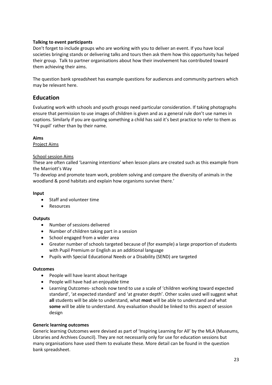#### <span id="page-26-0"></span>**Talking to event participants**

Don't forget to include groups who are working with you to deliver an event. If you have local societies bringing stands or delivering talks and tours then ask them how this opportunity has helped their group. Talk to partner organisations about how their involvement has contributed toward them achieving their aims.

The question bank spreadsheet has example questions for audiences and community partners which may be relevant here.

### <span id="page-26-1"></span>**Education**

Evaluating work with schools and youth groups need particular consideration. If taking photographs ensure that permission to use images of children is given and as a general rule don't use names in captions. Similarly if you are quoting something a child has said it's best practice to refer to them as 'Y4 pupil' rather than by their name.

<span id="page-26-2"></span>**Aims**

<span id="page-26-3"></span>Project Aims

#### <span id="page-26-4"></span>School session Aims

These are often called 'Learning intentions' when lesson plans are created such as this example from the Marriott's Way

'To develop and promote team work, problem solving and compare the diversity of animals in the woodland & pond habitats and explain how organisms survive there.'

#### <span id="page-26-5"></span>**Input**

- Staff and volunteer time
- Resources

#### <span id="page-26-6"></span>**Outputs**

- Number of sessions delivered
- Number of children taking part in a session
- School engaged from a wider area
- Greater number of schools targeted because of (for example) a large proportion of students with Pupil Premium or English as an additional language
- Pupils with Special Educational Needs or a Disability (SEND) are targeted

#### <span id="page-26-7"></span>**Outcomes**

- People will have learnt about heritage
- People will have had an enjoyable time
- Learning Outcomes- schools now tend to use a scale of 'children working toward expected standard', 'at expected standard' and 'at greater depth'. Other scales used will suggest what **all** students will be able to understand, what **most** will be able to understand and what **some** will be able to understand. Any evaluation should be linked to this aspect of session design

#### <span id="page-26-8"></span>**Generic learning outcomes**

Generic learning Outcomes were devised as part of 'Inspiring Learning for All' by the MLA (Museums, Libraries and Archives Council). They are not necessarily only for use for education sessions but many organisations have used them to evaluate these. More detail can be found in the question bank spreadsheet.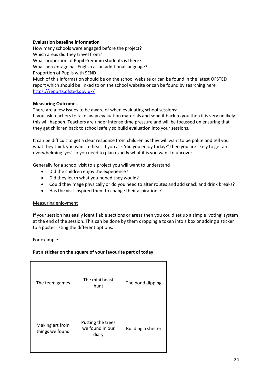#### <span id="page-27-0"></span>**Evaluation baseline information**

How many schools were engaged before the project? Which areas did they travel from? What proportion of Pupil Premium students is there? What percentage has English as an additional language? Proportion of Pupils with SEND Much of this information should be on the school website or can be found in the latest OFSTED report which should be linked to on the school website or can be found by searching here

<https://reports.ofsted.gov.uk/>

#### <span id="page-27-1"></span>**Measuring Outcomes**

There are a few issues to be aware of when evaluating school sessions:

If you ask teachers to take away evaluation materials and send it back to you then it is very unlikely this will happen. Teachers are under intense time pressure and will be focussed on ensuring that they get children back to school safely so build evaluation into your sessions.

It can be difficult to get a clear response from children as they will want to be polite and tell you what they think you want to hear. If you ask 'did you enjoy today?' then you are likely to get an overwhelming 'yes' so you need to plan exactly what it is you want to uncover.

Generally for a school visit to a project you will want to understand

- Did the children enjoy the experience?
- Did they learn what you hoped they would?
- Could they mage physically or do you need to alter routes and add snack and drink breaks?
- Has the visit inspired them to change their aspirations?

#### <span id="page-27-2"></span>Measuring enjoyment

If your session has easily identifiable sections or areas then you could set up a simple 'voting' system at the end of the session. This can be done by them dropping a token into a box or adding a sticker to a poster listing the different options.

For example:

#### **Put a sticker on the square of your favourite part of today**

| The team games                     | The mini beast<br>hunt                        | The pond dipping   |
|------------------------------------|-----------------------------------------------|--------------------|
| Making art from<br>things we found | Putting the trees<br>we found in our<br>diary | Building a shelter |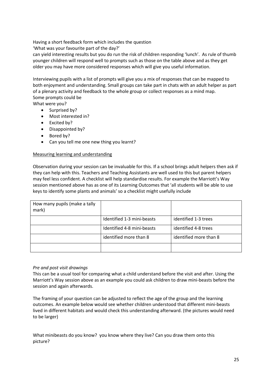Having a short feedback form which includes the question

'What was your favourite part of the day?'

can yield interesting results but you do run the risk of children responding 'lunch'. As rule of thumb younger children will respond well to prompts such as those on the table above and as they get older you may have more considered responses which will give you useful information.

Interviewing pupils with a list of prompts will give you a mix of responses that can be mapped to both enjoyment and understanding. Small groups can take part in chats with an adult helper as part of a plenary activity and feedback to the whole group or collect responses as a mind map. Some prompts could be

What were you?

- Surprised by?
- Most interested in?
- Excited by?
- Disappointed by?
- Bored by?
- Can you tell me one new thing you learnt?

#### <span id="page-28-0"></span>Measuring learning and understanding

Observation during your session can be invaluable for this. If a school brings adult helpers then ask if they can help with this. Teachers and Teaching Assistants are well used to this but parent helpers may feel less confident. A checklist will help standardise results. For example the Marriott's Way session mentioned above has as one of its Learning Outcomes that 'all students will be able to use keys to identify some plants and animals' so a checklist might usefully include

| How many pupils (make a tally<br>mark) |                            |                        |
|----------------------------------------|----------------------------|------------------------|
|                                        | Identified 1-3 mini-beasts | identified 1-3 trees   |
|                                        | Identified 4-8 mini-beasts | identified 4-8 trees   |
|                                        | identified more than 8     | identified more than 8 |
|                                        |                            |                        |

#### *Pre and post visit drawings*

This can be a usual tool for comparing what a child understand before the visit and after. Using the Marriott's Way session above as an example you could ask children to draw mini-beasts before the session and again afterwards.

The framing of your question can be adjusted to reflect the age of the group and the learning outcomes. An example below would see whether children understood that different mini-beasts lived in different habitats and would check this understanding afterward. (the pictures would need to be larger)

What minibeasts do you know? you know where they live? Can you draw them onto this picture?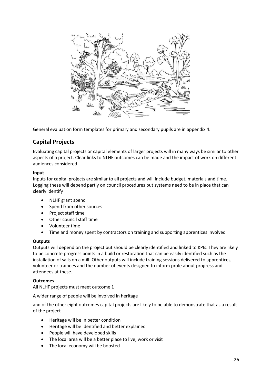

General evaluation form templates for primary and secondary pupils are in appendix 4.

## <span id="page-29-0"></span>**Capital Projects**

Evaluating capital projects or capital elements of larger projects will in many ways be similar to other aspects of a project. Clear links to NLHF outcomes can be made and the impact of work on different audiences considered.

#### <span id="page-29-1"></span>**Input**

Inputs for capital projects are similar to all projects and will include budget, materials and time. Logging these will depend partly on council procedures but systems need to be in place that can clearly identify

- NLHF grant spend
- Spend from other sources
- Project staff time
- Other council staff time
- Volunteer time
- Time and money spent by contractors on training and supporting apprentices involved

#### <span id="page-29-2"></span>**Outputs**

Outputs will depend on the project but should be clearly identified and linked to KPIs. They are likely to be concrete progress points in a build or restoration that can be easily identified such as the installation of sails on a mill. Other outputs will include training sessions delivered to apprentices, volunteer or trainees and the number of events designed to inform prole about progress and attendees at these.

#### <span id="page-29-3"></span>**Outcomes**

All NLHF projects must meet outcome 1

A wider range of people will be involved in heritage

and of the other eight outcomes capital projects are likely to be able to demonstrate that as a result of the project

- Heritage will be in better condition
- Heritage will be identified and better explained
- People will have developed skills
- The local area will be a better place to live, work or visit
- The local economy will be boosted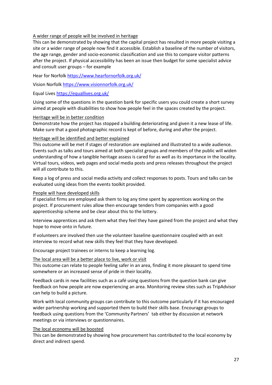#### <span id="page-30-0"></span>A wider range of people will be involved in heritage

This can be demonstrated by showing that the capital project has resulted in more people visiting a site or a wider range of people now find it accessible. Establish a baseline of the number of visitors, the age range, gender and socio-economic classification and use this to compare visitor patterns after the project. If physical accessibility has been an issue then budget for some specialist advice and consult user groups – for example

Hear for Norfolk<https://www.hearfornorfolk.org.uk/>

Vision Norfol[k https://www.visionnorfolk.org.uk/](https://www.visionnorfolk.org.uk/)

Equal Live[s https://equallives.org.uk/](https://equallives.org.uk/)

Using some of the questions in the question bank for specific users you could create a short survey aimed at people with disabilities to show how people feel in the spaces created by the project.

#### <span id="page-30-1"></span>Heritage will be in better condition

Demonstrate how the project has stopped a building deteriorating and given it a new lease of life. Make sure that a good photographic record is kept of before, during and after the project.

#### <span id="page-30-2"></span>Heritage will be identified and better explained

This outcome will be met if stages of restoration are explained and illustrated to a wide audience. Events such as talks and tours aimed at both specialist groups and members of the public will widen understanding of how a tangible heritage assess is cared for as well as its importance in the locality. Virtual tours, videos, web pages and social media posts and press releases throughout the project will all contribute to this.

Keep a log of press and social media activity and collect responses to posts. Tours and talks can be evaluated using ideas from the events toolkit provided.

#### <span id="page-30-3"></span>People will have developed skills

If specialist firms are employed ask them to log any time spent by apprentices working on the project. If procurement rules allow then encourage tenders from companies with a good apprenticeship scheme and be clear about this to the lottery.

Interview apprentices and ask them what they feel they have gained from the project and what they hope to move onto in future.

If volunteers are involved then use the volunteer baseline questionnaire coupled with an exit interview to record what new skills they feel that they have developed.

Encourage project trainees or interns to keep a learning log.

#### <span id="page-30-4"></span>The local area will be a better place to live, work or visit

This outcome can relate to people feeling safer in an area, finding it more pleasant to spend time somewhere or an increased sense of pride in their locality.

Feedback cards in new facilities such as a café using questions from the question bank can give feedback on how people are now experiencing an area. Monitoring review sites such as TripAdvisor can help to build a picture.

Work with local community groups can contribute to this outcome particularly if it has encouraged wider partnership working and supported them to build their skills base. Encourage groups to feedback using questions from the 'Community Partners' tab either by discussion at network meetings or via interviews or questionnaires.

#### <span id="page-30-5"></span>The local economy will be boosted

This can be demonstrated by showing how procurement has contributed to the local economy by direct and indirect spend.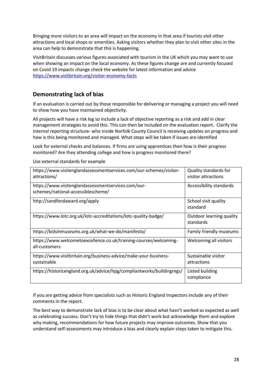Bringing more visitors to an area will impact on the economy in that area if tourists visit other attractions and local shops or amenities. Asking visitors whether they plan to visit other sites in the area can help to demonstrate that this is happening.

VisitBritain discusses various figures associated with tourism in the UK which you may want to use when showing an impact on the local economy. As these figures change are and currently focused on Covid 19 impacts change check the website for latest information and advice <https://www.visitbritain.org/visitor-economy-facts>

## <span id="page-31-0"></span>**Demonstrating lack of bias**

If an evaluation is carried out by those responsible for delivering or managing a project you will need to show how you have maintained objectivity.

All projects will have a risk log so include a lack of objective reporting as a risk and add in clear management strategies to avoid this. This can then be included on the evaluation report. Clarify the internal reporting structure- who inside Norfolk County Council is receiving updates on progress and how is this being monitored and managed. What steps will be taken if issues are identified

Look for external checks and balances. If firms are using apprentices then how is their progress monitored? Are they attending college and how is progress monitored there?

| https://www.visitenglandassessmentservices.com/our-schemes/visitor-<br>attractions/       | Quality standards for<br>visitor attractions |
|-------------------------------------------------------------------------------------------|----------------------------------------------|
| https://www.visitenglandassessmentservices.com/our-<br>schemes/national-accessiblescheme/ | Accessibility standards                      |
| http://sandfordaward.org/apply                                                            | School visit quality<br>standard             |
| https://www.lotc.org.uk/lotc-accreditations/lotc-quality-badge/                           | Outdoor learning quality<br>standards        |
| https://kidsinmuseums.org.uk/what-we-do/manifesto/                                        | Family friendly museums                      |
| https://www.welcometoexcellence.co.uk/training-courses/welcoming-<br>all-customers        | Welcoming all visitors                       |
| https://www.visitbritain.org/business-advice/make-your-business-<br>sustainable           | Sustainable visitor<br>attractions           |
| https://historicengland.org.uk/advice/hpg/compliantworks/buildingregs/                    | Listed building<br>compliance                |

Use external standards for example

If you are getting advice from specialists such as Historic England Inspectors include any of their comments in the report.

The best way to demonstrate lack of bias is to be clear about what hasn't worked as expected as well as celebrating success. Don't try to hide things that didn't work but acknowledge them and explore why making, recommendations for how future projects may improve outcomes. Show that you understand self-assessments may introduce a bias and clearly explain steps taken to mitigate this.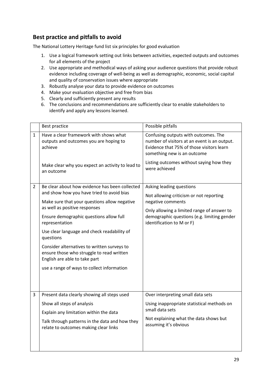## <span id="page-32-0"></span>**Best practice and pitfalls to avoid**

The National Lottery Heritage fund list six principles for good evaluation

- 1. Use a logical framework setting out links between activities, expected outputs and outcomes for all elements of the project
- 2. Use appropriate and methodical ways of asking your audience questions that provide robust evidence including coverage of well-being as well as demographic, economic, social capital and quality of conservation issues where appropriate
- 3. Robustly analyse your data to provide evidence on outcomes
- 4. Make your evaluation objective and free from bias
- 5. Clearly and sufficiently present any results
- 6. The conclusions and recommendations are sufficiently clear to enable stakeholders to identify and apply any lessons learned.

|                | Best practice                                                                                                                                                                                                                                                                                                                                                                                                                                                                    | Possible pitfalls                                                                                                                                                                                                             |
|----------------|----------------------------------------------------------------------------------------------------------------------------------------------------------------------------------------------------------------------------------------------------------------------------------------------------------------------------------------------------------------------------------------------------------------------------------------------------------------------------------|-------------------------------------------------------------------------------------------------------------------------------------------------------------------------------------------------------------------------------|
| $\mathbf{1}$   | Have a clear framework with shows what<br>outputs and outcomes you are hoping to<br>achieve<br>Make clear why you expect an activity to lead to<br>an outcome                                                                                                                                                                                                                                                                                                                    | Confusing outputs with outcomes. The<br>number of visitors at an event is an output.<br>Evidence that 75% of those visitors learn<br>something new is an outcome<br>Listing outcomes without saying how they<br>were achieved |
| $\overline{2}$ | Be clear about how evidence has been collected<br>and show how you have tried to avoid bias<br>Make sure that your questions allow negative<br>as well as positive responses<br>Ensure demographic questions allow full<br>representation<br>Use clear language and check readability of<br>questions<br>Consider alternatives to written surveys to<br>ensure those who struggle to read written<br>English are able to take part<br>use a range of ways to collect information | Asking leading questions<br>Not allowing criticism or not reporting<br>negative comments<br>Only allowing a limited range of answer to<br>demographic questions (e.g. limiting gender<br>identification to M or F)            |
| 3              | Present data clearly showing all steps used<br>Show all steps of analysis<br>Explain any limitation within the data<br>Talk through patterns in the data and how they<br>relate to outcomes making clear links                                                                                                                                                                                                                                                                   | Over interpreting small data sets<br>Using inappropriate statistical methods on<br>small data sets<br>Not explaining what the data shows but<br>assuming it's obvious                                                         |